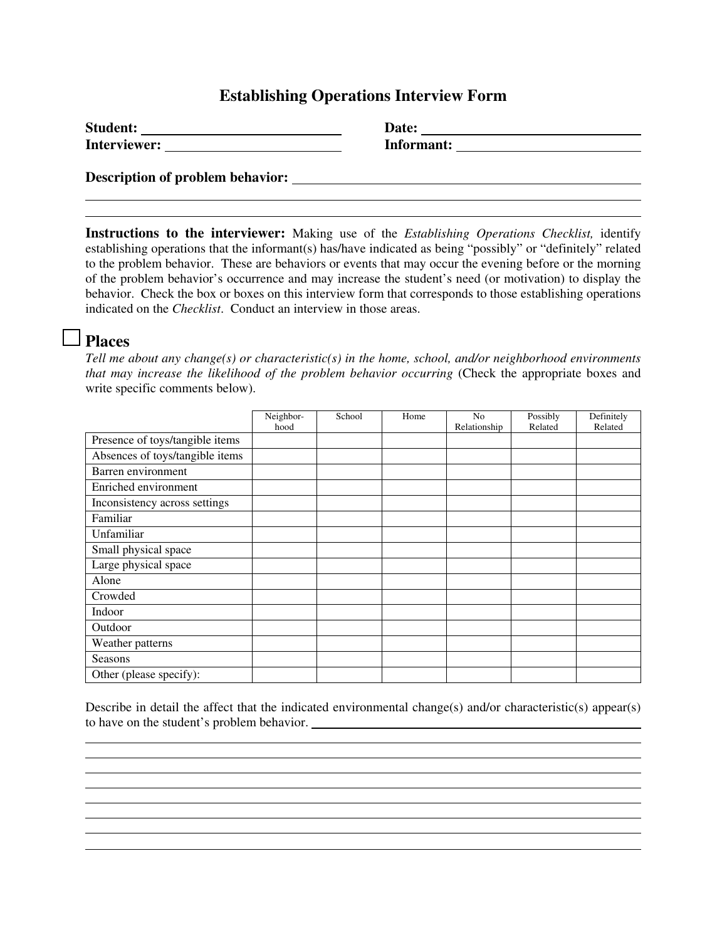### **Establishing Operations Interview Form**

| <b>Student:</b>                         | Date:      |
|-----------------------------------------|------------|
| Interviewer:                            | Informant: |
| <b>Description of problem behavior:</b> |            |

**Instructions to the interviewer:** Making use of the *Establishing Operations Checklist,* identify establishing operations that the informant(s) has/have indicated as being "possibly" or "definitely" related to the problem behavior. These are behaviors or events that may occur the evening before or the morning of the problem behavior's occurrence and may increase the student's need (or motivation) to display the behavior. Check the box or boxes on this interview form that corresponds to those establishing operations indicated on the *Checklist*. Conduct an interview in those areas.

### **Places**

*Tell me about any change(s) or characteristic(s) in the home, school, and/or neighborhood environments that may increase the likelihood of the problem behavior occurring* (Check the appropriate boxes and write specific comments below).

|                                 | Neighbor- | School | Home | N <sub>0</sub> | Possibly | Definitely |
|---------------------------------|-----------|--------|------|----------------|----------|------------|
|                                 | hood      |        |      | Relationship   | Related  | Related    |
| Presence of toys/tangible items |           |        |      |                |          |            |
| Absences of toys/tangible items |           |        |      |                |          |            |
| Barren environment              |           |        |      |                |          |            |
| Enriched environment            |           |        |      |                |          |            |
| Inconsistency across settings   |           |        |      |                |          |            |
| Familiar                        |           |        |      |                |          |            |
| Unfamiliar                      |           |        |      |                |          |            |
| Small physical space            |           |        |      |                |          |            |
| Large physical space            |           |        |      |                |          |            |
| Alone                           |           |        |      |                |          |            |
| Crowded                         |           |        |      |                |          |            |
| Indoor                          |           |        |      |                |          |            |
| Outdoor                         |           |        |      |                |          |            |
| Weather patterns                |           |        |      |                |          |            |
| Seasons                         |           |        |      |                |          |            |
| Other (please specify):         |           |        |      |                |          |            |

Describe in detail the affect that the indicated environmental change(s) and/or characteristic(s) appear(s) to have on the student's problem behavior.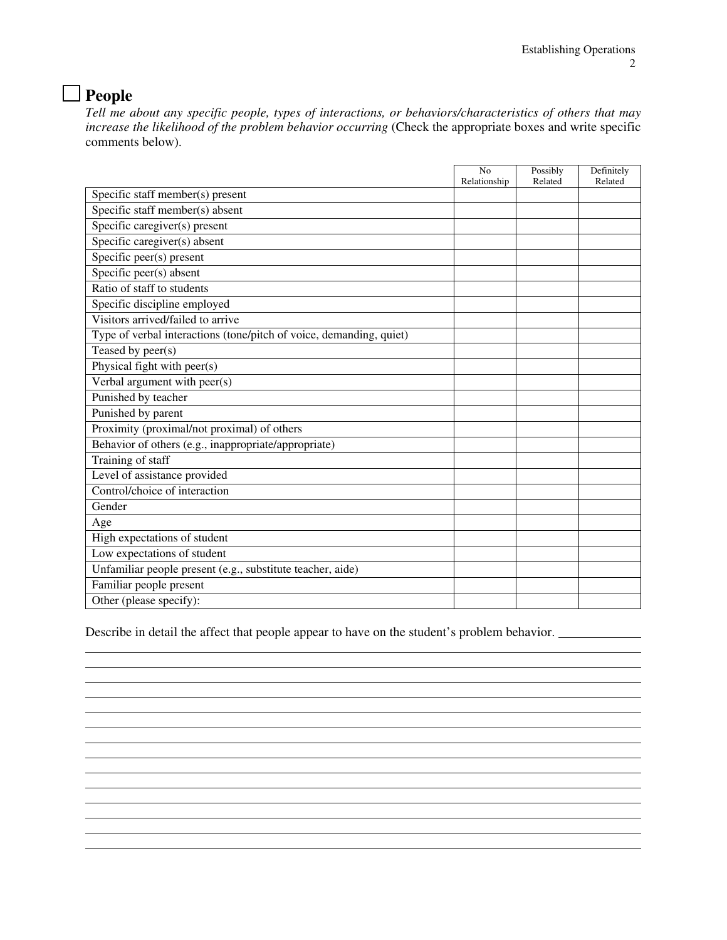## **People**

*Tell me about any specific people, types of interactions, or behaviors/characteristics of others that may*  increase the likelihood of the problem behavior occurring (Check the appropriate boxes and write specific comments below).

|                                                                     | No           | Possibly | Definitely |
|---------------------------------------------------------------------|--------------|----------|------------|
|                                                                     | Relationship | Related  | Related    |
| Specific staff member(s) present                                    |              |          |            |
| Specific staff member(s) absent                                     |              |          |            |
| Specific caregiver(s) present                                       |              |          |            |
| Specific caregiver(s) absent                                        |              |          |            |
| Specific peer(s) present                                            |              |          |            |
| Specific peer(s) absent                                             |              |          |            |
| Ratio of staff to students                                          |              |          |            |
| Specific discipline employed                                        |              |          |            |
| Visitors arrived/failed to arrive                                   |              |          |            |
| Type of verbal interactions (tone/pitch of voice, demanding, quiet) |              |          |            |
| Teased by peer(s)                                                   |              |          |            |
| Physical fight with peer(s)                                         |              |          |            |
| Verbal argument with peer(s)                                        |              |          |            |
| Punished by teacher                                                 |              |          |            |
| Punished by parent                                                  |              |          |            |
| Proximity (proximal/not proximal) of others                         |              |          |            |
| Behavior of others (e.g., inappropriate/appropriate)                |              |          |            |
| Training of staff                                                   |              |          |            |
| Level of assistance provided                                        |              |          |            |
| Control/choice of interaction                                       |              |          |            |
| Gender                                                              |              |          |            |
| Age                                                                 |              |          |            |
| High expectations of student                                        |              |          |            |
| Low expectations of student                                         |              |          |            |
| Unfamiliar people present (e.g., substitute teacher, aide)          |              |          |            |
| Familiar people present                                             |              |          |            |
| Other (please specify):                                             |              |          |            |

Describe in detail the affect that people appear to have on the student's problem behavior.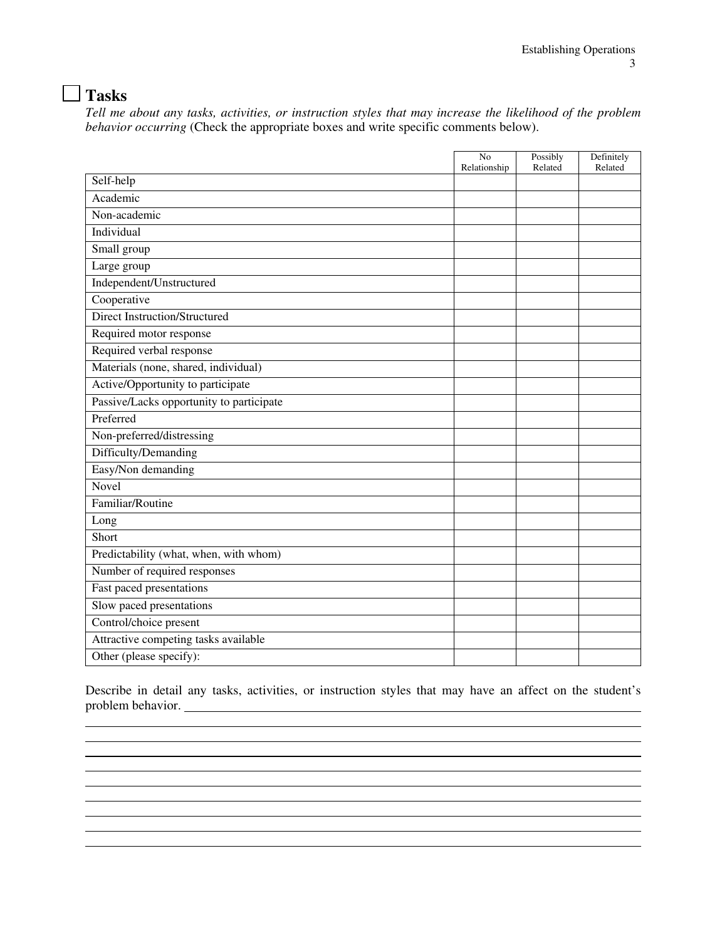# **Tasks**

 $\overline{a}$ 

*Tell me about any tasks, activities, or instruction styles that may increase the likelihood of the problem behavior occurring* (Check the appropriate boxes and write specific comments below).

|                                          | N <sub>o</sub><br>Relationship | Possibly<br>Related | Definitely<br>Related |
|------------------------------------------|--------------------------------|---------------------|-----------------------|
| Self-help                                |                                |                     |                       |
| Academic                                 |                                |                     |                       |
| Non-academic                             |                                |                     |                       |
| Individual                               |                                |                     |                       |
| Small group                              |                                |                     |                       |
| Large group                              |                                |                     |                       |
| Independent/Unstructured                 |                                |                     |                       |
| Cooperative                              |                                |                     |                       |
| <b>Direct Instruction/Structured</b>     |                                |                     |                       |
| Required motor response                  |                                |                     |                       |
| Required verbal response                 |                                |                     |                       |
| Materials (none, shared, individual)     |                                |                     |                       |
| Active/Opportunity to participate        |                                |                     |                       |
| Passive/Lacks opportunity to participate |                                |                     |                       |
| Preferred                                |                                |                     |                       |
| Non-preferred/distressing                |                                |                     |                       |
| Difficulty/Demanding                     |                                |                     |                       |
| Easy/Non demanding                       |                                |                     |                       |
| Novel                                    |                                |                     |                       |
| Familiar/Routine                         |                                |                     |                       |
| Long                                     |                                |                     |                       |
| Short                                    |                                |                     |                       |
| Predictability (what, when, with whom)   |                                |                     |                       |
| Number of required responses             |                                |                     |                       |
| Fast paced presentations                 |                                |                     |                       |
| Slow paced presentations                 |                                |                     |                       |
| Control/choice present                   |                                |                     |                       |
| Attractive competing tasks available     |                                |                     |                       |
| Other (please specify):                  |                                |                     |                       |

Describe in detail any tasks, activities, or instruction styles that may have an affect on the student's problem behavior.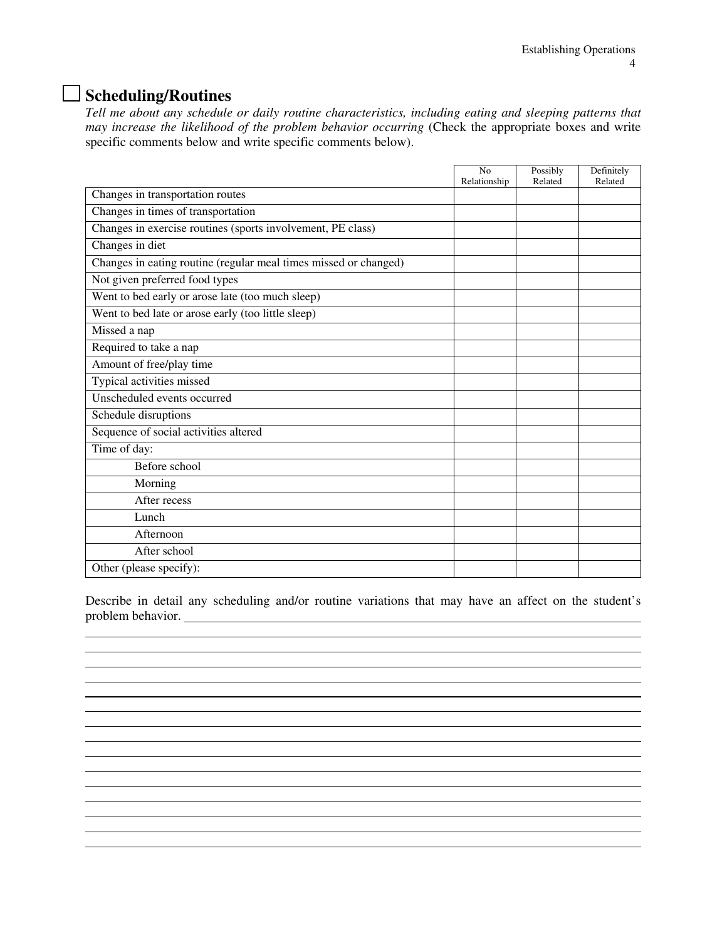### **Scheduling/Routines**

*Tell me about any schedule or daily routine characteristics, including eating and sleeping patterns that may increase the likelihood of the problem behavior occurring* (Check the appropriate boxes and write specific comments below and write specific comments below).

|                                                                  | No           | Possibly | Definitely |
|------------------------------------------------------------------|--------------|----------|------------|
|                                                                  | Relationship | Related  | Related    |
| Changes in transportation routes                                 |              |          |            |
| Changes in times of transportation                               |              |          |            |
| Changes in exercise routines (sports involvement, PE class)      |              |          |            |
| Changes in diet                                                  |              |          |            |
| Changes in eating routine (regular meal times missed or changed) |              |          |            |
| Not given preferred food types                                   |              |          |            |
| Went to bed early or arose late (too much sleep)                 |              |          |            |
| Went to bed late or arose early (too little sleep)               |              |          |            |
| Missed a nap                                                     |              |          |            |
| Required to take a nap                                           |              |          |            |
| Amount of free/play time                                         |              |          |            |
| Typical activities missed                                        |              |          |            |
| Unscheduled events occurred                                      |              |          |            |
| Schedule disruptions                                             |              |          |            |
| Sequence of social activities altered                            |              |          |            |
| Time of day:                                                     |              |          |            |
| Before school                                                    |              |          |            |
| Morning                                                          |              |          |            |
| After recess                                                     |              |          |            |
| Lunch                                                            |              |          |            |
| Afternoon                                                        |              |          |            |
| After school                                                     |              |          |            |
| Other (please specify):                                          |              |          |            |

Describe in detail any scheduling and/or routine variations that may have an affect on the student's problem behavior.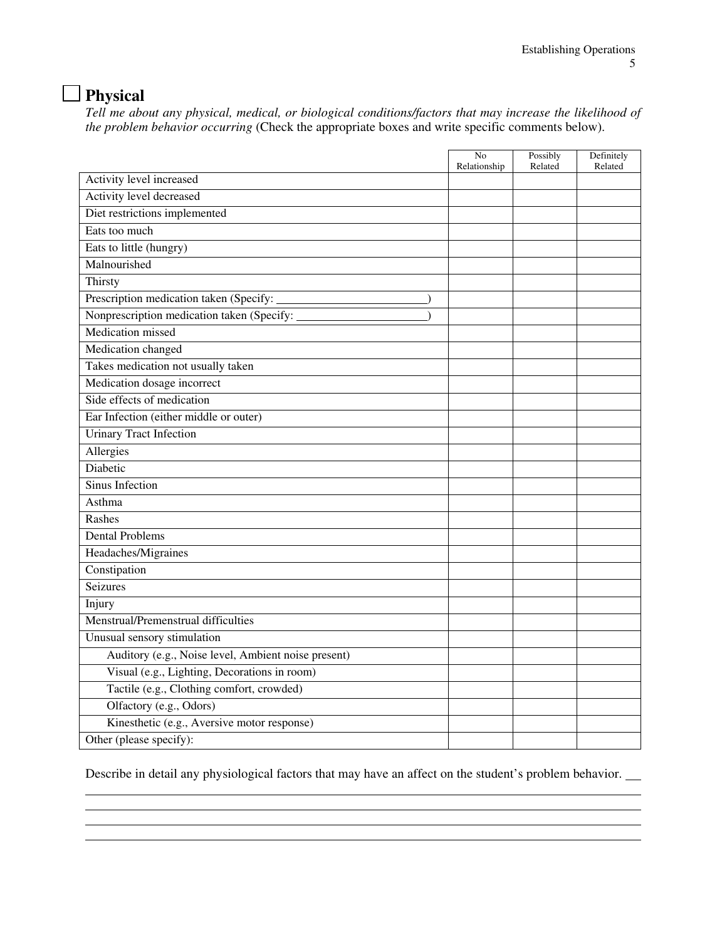# **Physical**

*Tell me about any physical, medical, or biological conditions/factors that may increase the likelihood of the problem behavior occurring* (Check the appropriate boxes and write specific comments below).

|                                                     | No<br>Relationship | Possibly<br>Related | Definitely<br>Related |
|-----------------------------------------------------|--------------------|---------------------|-----------------------|
| Activity level increased                            |                    |                     |                       |
| Activity level decreased                            |                    |                     |                       |
| Diet restrictions implemented                       |                    |                     |                       |
| Eats too much                                       |                    |                     |                       |
| Eats to little (hungry)                             |                    |                     |                       |
| Malnourished                                        |                    |                     |                       |
| Thirsty                                             |                    |                     |                       |
| Prescription medication taken (Specify:             |                    |                     |                       |
| Nonprescription medication taken (Specify:          |                    |                     |                       |
| Medication missed                                   |                    |                     |                       |
| Medication changed                                  |                    |                     |                       |
| Takes medication not usually taken                  |                    |                     |                       |
| Medication dosage incorrect                         |                    |                     |                       |
| Side effects of medication                          |                    |                     |                       |
| Ear Infection (either middle or outer)              |                    |                     |                       |
| <b>Urinary Tract Infection</b>                      |                    |                     |                       |
| Allergies                                           |                    |                     |                       |
| Diabetic                                            |                    |                     |                       |
| Sinus Infection                                     |                    |                     |                       |
| Asthma                                              |                    |                     |                       |
| Rashes                                              |                    |                     |                       |
| <b>Dental Problems</b>                              |                    |                     |                       |
| Headaches/Migraines                                 |                    |                     |                       |
| Constipation                                        |                    |                     |                       |
| Seizures                                            |                    |                     |                       |
| Injury                                              |                    |                     |                       |
| Menstrual/Premenstrual difficulties                 |                    |                     |                       |
| Unusual sensory stimulation                         |                    |                     |                       |
| Auditory (e.g., Noise level, Ambient noise present) |                    |                     |                       |
| Visual (e.g., Lighting, Decorations in room)        |                    |                     |                       |
| Tactile (e.g., Clothing comfort, crowded)           |                    |                     |                       |
| Olfactory (e.g., Odors)                             |                    |                     |                       |
| Kinesthetic (e.g., Aversive motor response)         |                    |                     |                       |
| Other (please specify):                             |                    |                     |                       |

Describe in detail any physiological factors that may have an affect on the student's problem behavior.

and the control of the control of the control of the control of the control of the control of the control of the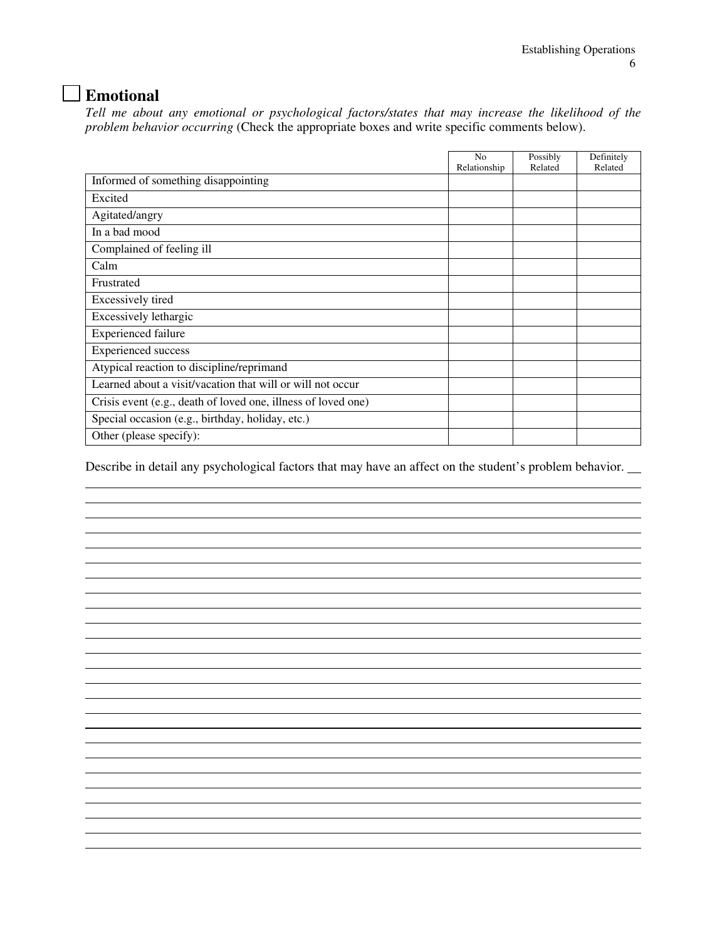# **Emotional**

 $\overline{a}$ 

*Tell me about any emotional or psychological factors/states that may increase the likelihood of the problem behavior occurring* (Check the appropriate boxes and write specific comments below).

|                                                               | N <sub>o</sub> | Possibly | Definitely |
|---------------------------------------------------------------|----------------|----------|------------|
|                                                               | Relationship   | Related  | Related    |
| Informed of something disappointing                           |                |          |            |
| Excited                                                       |                |          |            |
| Agitated/angry                                                |                |          |            |
| In a bad mood                                                 |                |          |            |
| Complained of feeling ill                                     |                |          |            |
| Calm                                                          |                |          |            |
| Frustrated                                                    |                |          |            |
| Excessively tired                                             |                |          |            |
| Excessively lethargic                                         |                |          |            |
| <b>Experienced failure</b>                                    |                |          |            |
| <b>Experienced</b> success                                    |                |          |            |
| Atypical reaction to discipline/reprimand                     |                |          |            |
| Learned about a visit/vacation that will or will not occur    |                |          |            |
| Crisis event (e.g., death of loved one, illness of loved one) |                |          |            |
| Special occasion (e.g., birthday, holiday, etc.)              |                |          |            |
| Other (please specify):                                       |                |          |            |

Describe in detail any psychological factors that may have an affect on the student's problem behavior.